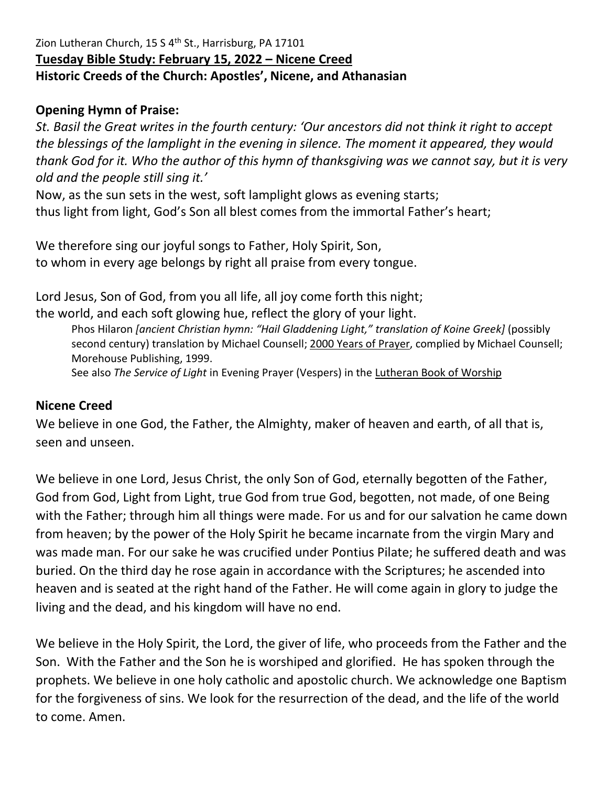## Zion Lutheran Church, 15 S 4<sup>th</sup> St., Harrisburg, PA 17101 **Tuesday Bible Study: February 15, 2022 – Nicene Creed Historic Creeds of the Church: Apostles', Nicene, and Athanasian**

## **Opening Hymn of Praise:**

*St. Basil the Great writes in the fourth century: 'Our ancestors did not think it right to accept the blessings of the lamplight in the evening in silence. The moment it appeared, they would thank God for it. Who the author of this hymn of thanksgiving was we cannot say, but it is very old and the people still sing it.'*

Now, as the sun sets in the west, soft lamplight glows as evening starts; thus light from light, God's Son all blest comes from the immortal Father's heart;

We therefore sing our joyful songs to Father, Holy Spirit, Son, to whom in every age belongs by right all praise from every tongue.

Lord Jesus, Son of God, from you all life, all joy come forth this night; the world, and each soft glowing hue, reflect the glory of your light.

Phos Hilaron *[ancient Christian hymn: "Hail Gladdening Light," translation of Koine Greek]* (possibly second century) translation by Michael Counsell; 2000 Years of Prayer, complied by Michael Counsell; Morehouse Publishing, 1999.

See also *The Service of Light* in Evening Prayer (Vespers) in the Lutheran Book of Worship

## **Nicene Creed**

We believe in one God, the Father, the Almighty, maker of heaven and earth, of all that is, seen and unseen.

We believe in one Lord, Jesus Christ, the only Son of God, eternally begotten of the Father, God from God, Light from Light, true God from true God, begotten, not made, of one Being with the Father; through him all things were made. For us and for our salvation he came down from heaven; by the power of the Holy Spirit he became incarnate from the virgin Mary and was made man. For our sake he was crucified under Pontius Pilate; he suffered death and was buried. On the third day he rose again in accordance with the Scriptures; he ascended into heaven and is seated at the right hand of the Father. He will come again in glory to judge the living and the dead, and his kingdom will have no end.

We believe in the Holy Spirit, the Lord, the giver of life, who proceeds from the Father and the Son. With the Father and the Son he is worshiped and glorified. He has spoken through the prophets. We believe in one holy catholic and apostolic church. We acknowledge one Baptism for the forgiveness of sins. We look for the resurrection of the dead, and the life of the world to come. Amen.